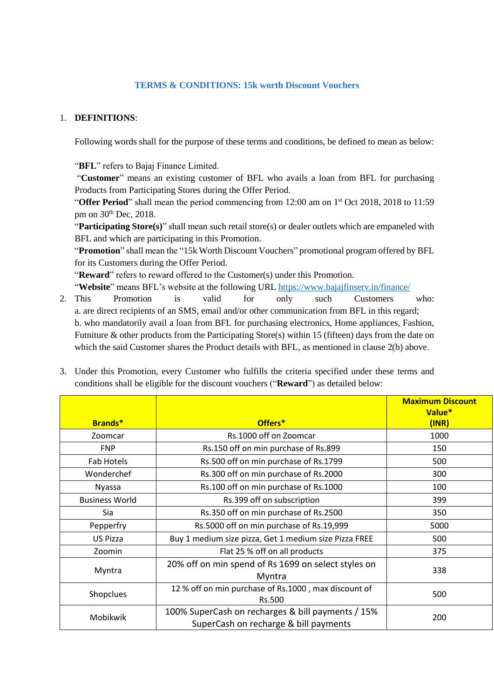## **TERMS & CONDITIONS: 15k worth Discount Vouchers**

## 1. **DEFINITIONS**:

Following words shall for the purpose of these terms and conditions, be defined to mean as below:

"**BFL**" refers to Bajaj Finance Limited.

"**Customer**" means an existing customer of BFL who avails a loan from BFL for purchasing Products from Participating Stores during the Offer Period.

"Offer Period" shall mean the period commencing from 12:00 am on 1<sup>st</sup> Oct 2018, 2018 to 11:59 pm on 30th Dec, 2018.

"**Participating Store(s)**" shall mean such retail store(s) or dealer outlets which are empaneled with BFL and which are participating in this Promotion.

"**Promotion**" shall mean the "15k Worth Discount Vouchers" promotional program offered by BFL for its Customers during the Offer Period.

"**Reward**" refers to reward offered to the Customer(s) under this Promotion.

"**Website**" means BFL's website at the following URL <https://www.bajajfinserv.in/finance/>

- 2. This Promotion is valid for only such Customers who: a. are direct recipients of an SMS, email and/or other communication from BFL in this regard; b. who mandatorily avail a loan from BFL for purchasing electronics, Home appliances, Fashion, Futniture & other products from the Participating Store(s) within 15 (fifteen) days from the date on which the said Customer shares the Product details with BFL, as mentioned in clause 2(b) above.
- 3. Under this Promotion, every Customer who fulfills the criteria specified under these terms and conditions shall be eligible for the discount vouchers ("**Reward**") as detailed below:

|                       |                                                                                            | <b>Maximum Discount</b><br>Value* |
|-----------------------|--------------------------------------------------------------------------------------------|-----------------------------------|
| <b>Brands*</b>        | Offers*                                                                                    | (INR)                             |
| Zoomcar               | Rs.1000 off on Zoomcar                                                                     | 1000                              |
| <b>FNP</b>            | Rs.150 off on min purchase of Rs.899                                                       | 150                               |
| Fab Hotels            | Rs.500 off on min purchase of Rs.1799                                                      | 500                               |
| Wonderchef            | Rs.300 off on min purchase of Rs.2000                                                      | 300                               |
| <b>Nyassa</b>         | Rs.100 off on min purchase of Rs.1000                                                      | 100                               |
| <b>Business World</b> | Rs.399 off on subscription                                                                 | 399                               |
| Sia                   | Rs.350 off on min purchase of Rs.2500                                                      | 350                               |
| Pepperfry             | Rs.5000 off on min purchase of Rs.19,999                                                   | 5000                              |
| <b>US Pizza</b>       | Buy 1 medium size pizza, Get 1 medium size Pizza FREE                                      | 500                               |
| Zoomin                | Flat 25 % off on all products                                                              | 375                               |
| Myntra                | 20% off on min spend of Rs 1699 on select styles on<br>Myntra                              | 338                               |
| Shopclues             | 12 % off on min purchase of Rs.1000, max discount of<br>Rs.500                             | 500                               |
| Mobikwik              | 100% SuperCash on recharges & bill payments / 15%<br>SuperCash on recharge & bill payments | 200                               |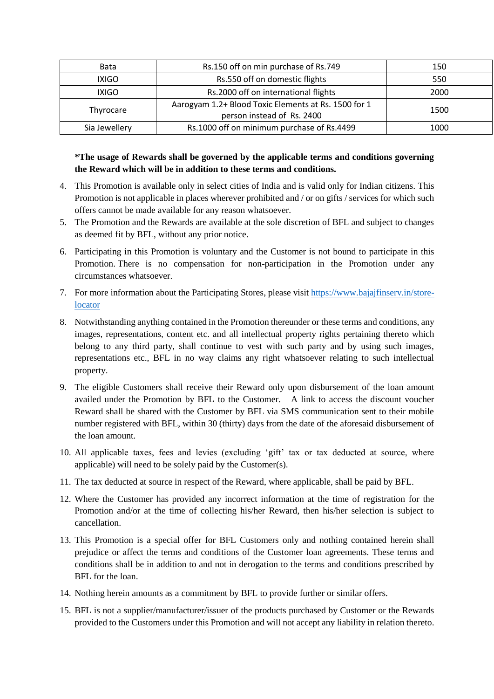| <b>Bata</b>   | Rs.150 off on min purchase of Rs.749                                               | 150  |
|---------------|------------------------------------------------------------------------------------|------|
| <b>IXIGO</b>  | Rs.550 off on domestic flights                                                     | 550  |
| <b>IXIGO</b>  | Rs.2000 off on international flights                                               | 2000 |
| Thyrocare     | Aarogyam 1.2+ Blood Toxic Elements at Rs. 1500 for 1<br>person instead of Rs. 2400 | 1500 |
| Sia Jewellery | Rs.1000 off on minimum purchase of Rs.4499                                         | 1000 |

## **\*The usage of Rewards shall be governed by the applicable terms and conditions governing the Reward which will be in addition to these terms and conditions.**

- 4. This Promotion is available only in select cities of India and is valid only for Indian citizens. This Promotion is not applicable in places wherever prohibited and / or on gifts / services for which such offers cannot be made available for any reason whatsoever.
- 5. The Promotion and the Rewards are available at the sole discretion of BFL and subject to changes as deemed fit by BFL, without any prior notice.
- 6. Participating in this Promotion is voluntary and the Customer is not bound to participate in this Promotion. There is no compensation for non-participation in the Promotion under any circumstances whatsoever.
- 7. For more information about the Participating Stores, please visit [https://www.bajajfinserv.in/store](https://www.bajajfinserv.in/store-locator)[locator](https://www.bajajfinserv.in/store-locator)
- 8. Notwithstanding anything contained in the Promotion thereunder or these terms and conditions, any images, representations, content etc. and all intellectual property rights pertaining thereto which belong to any third party, shall continue to vest with such party and by using such images, representations etc., BFL in no way claims any right whatsoever relating to such intellectual property.
- 9. The eligible Customers shall receive their Reward only upon disbursement of the loan amount availed under the Promotion by BFL to the Customer. A link to access the discount voucher Reward shall be shared with the Customer by BFL via SMS communication sent to their mobile number registered with BFL, within 30 (thirty) days from the date of the aforesaid disbursement of the loan amount.
- 10. All applicable taxes, fees and levies (excluding 'gift' tax or tax deducted at source, where applicable) will need to be solely paid by the Customer(s).
- 11. The tax deducted at source in respect of the Reward, where applicable, shall be paid by BFL.
- 12. Where the Customer has provided any incorrect information at the time of registration for the Promotion and/or at the time of collecting his/her Reward, then his/her selection is subject to cancellation.
- 13. This Promotion is a special offer for BFL Customers only and nothing contained herein shall prejudice or affect the terms and conditions of the Customer loan agreements. These terms and conditions shall be in addition to and not in derogation to the terms and conditions prescribed by BFL for the loan.
- 14. Nothing herein amounts as a commitment by BFL to provide further or similar offers.
- 15. BFL is not a supplier/manufacturer/issuer of the products purchased by Customer or the Rewards provided to the Customers under this Promotion and will not accept any liability in relation thereto.